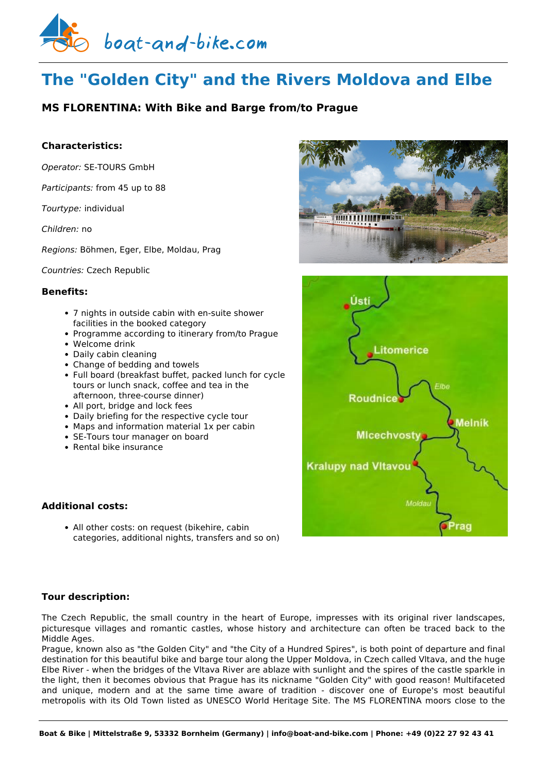

# **The "Golden City" and the Rivers Moldova and Elbe**

# **MS FLORENTINA: With Bike and Barge from/to Prague**

### **Characteristics:**

*Operator:* [SE-TOURS GmbH](https://www.boat-and-bike.com/operator/se-tours-gmbh.html) 

*Participants:* from 45 up to 88

*Tourtype:* individual

*Children:* no

*Regions:* Böhmen, Eger, Elbe, Moldau, Prag

*Countries:* Czech Republic

#### **Benefits:**

- 7 nights in outside cabin with en-suite shower facilities in the booked category
- Programme according to itinerary from/to Prague
- Welcome drink
- Daily cabin cleaning
- Change of bedding and towels
- Full board (breakfast buffet, packed lunch for cycle tours or lunch snack, coffee and tea in the afternoon, three-course dinner)
- All port, bridge and lock fees
- Daily briefing for the respective cycle tour
- Maps and information material 1x per cabin
- SE-Tours tour manager on board
- $\bullet$  Rental bike insurance

## **Additional costs:**

• All other costs: on request (bikehire, cabin categories, additional nights, transfers and so on)





#### **Tour description:**

The Czech Republic, the small country in the heart of Europe, impresses with its original river landscapes, picturesque villages and romantic castles, whose history and architecture can often be traced back to the Middle Ages.

Prague, known also as "the Golden City" and "the City of a Hundred Spires", is both point of departure and final destination for this beautiful bike and barge tour along the Upper Moldova, in Czech called Vltava, and the huge Elbe River - when the bridges of the Vltava River are ablaze with sunlight and the spires of the castle sparkle in the light, then it becomes obvious that Prague has its nickname "Golden City" with good reason! Multifaceted and unique, modern and at the same time aware of tradition - discover one of Europe's most beautiful metropolis with its Old Town listed as UNESCO World Heritage Site. The MS FLORENTINA moors close to the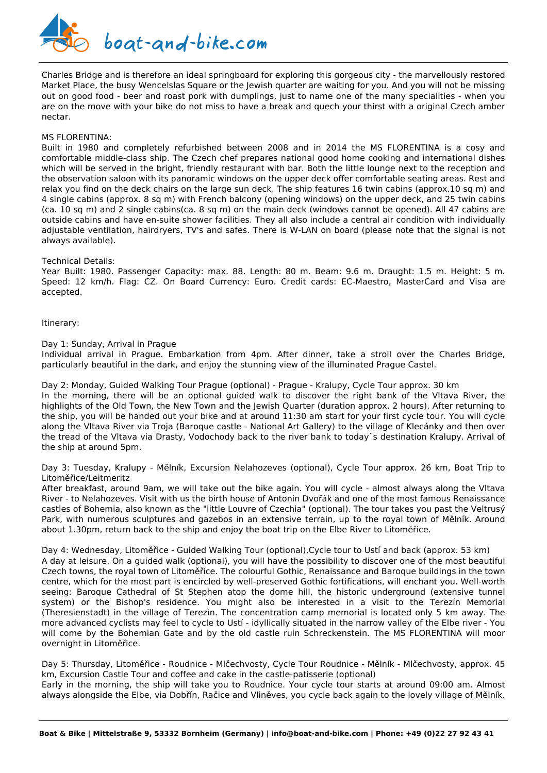

Charles Bridge and is therefore an ideal springboard for exploring this gorgeous city - the marvellously restored Market Place, the busy Wencelslas Square or the Jewish quarter are waiting for you. And you will not be missing out on good food - beer and roast pork with dumplings, just to name one of the many specialities - when you are on the move with your bike do not miss to have a break and quech your thirst with a original Czech amber nectar.

#### MS FLORENTINA:

Built in 1980 and completely refurbished between 2008 and in 2014 the MS FLORENTINA is a cosy and comfortable middle-class ship. The Czech chef prepares national good home cooking and international dishes which will be served in the bright, friendly restaurant with bar. Both the little lounge next to the reception and the observation saloon with its panoramic windows on the upper deck offer comfortable seating areas. Rest and relax you find on the deck chairs on the large sun deck. The ship features 16 twin cabins (approx.10 sq m) and 4 single cabins (approx. 8 sq m) with French balcony (opening windows) on the upper deck, and 25 twin cabins (ca. 10 sq m) and 2 single cabins(ca. 8 sq m) on the main deck (windows cannot be opened). All 47 cabins are outside cabins and have en-suite shower facilities. They all also include a central air condition with individually adjustable ventilation, hairdryers, TV's and safes. There is W-LAN on board (please note that the signal is not always available).

Technical Details:

Year Built: 1980. Passenger Capacity: max. 88. Length: 80 m. Beam: 9.6 m. Draught: 1.5 m. Height: 5 m. Speed: 12 km/h. Flag: CZ. On Board Currency: Euro. Credit cards: EC-Maestro, MasterCard and Visa are accepted.

Itinerary:

Day 1: Sunday, Arrival in Prague

overnight in Litoměřice.

Individual arrival in Prague. Embarkation from 4pm. After dinner, take a stroll over the Charles Bridge, particularly beautiful in the dark, and enjoy the stunning view of the illuminated Prague Castel.

Day 2: Monday, Guided Walking Tour Prague (optional) - Prague - Kralupy, Cycle Tour approx. 30 km In the morning, there will be an optional guided walk to discover the right bank of the Vltava River, the highlights of the Old Town, the New Town and the Jewish Quarter (duration approx. 2 hours). After returning to the ship, you will be handed out your bike and at around 11:30 am start for your first cycle tour. You will cycle along the Vltava River via Troja (Baroque castle - National Art Gallery) to the village of Klecánky and then over the tread of the Vltava via Drasty, Vodochody back to the river bank to today`s destination Kralupy. Arrival of the ship at around 5pm.

Day 3: Tuesday, Kralupy - Mělník, Excursion Nelahozeves (optional), Cycle Tour approx. 26 km, Boat Trip to Litoměřice/Leitmeritz

After breakfast, around 9am, we will take out the bike again. You will cycle - almost always along the Vltava River - to Nelahozeves. Visit with us the birth house of Antonin Dvořák and one of the most famous Renaissance castles of Bohemia, also known as the "little Louvre of Czechia" (optional). The tour takes you past the Veltrusý Park, with numerous sculptures and gazebos in an extensive terrain, up to the royal town of Mělník. Around about 1.30pm, return back to the ship and enjoy the boat trip on the Elbe River to Litoměřice.

Day 4: Wednesday, Litoměřice - Guided Walking Tour (optional),Cycle tour to Ustí and back (approx. 53 km) A day at leisure. On a guided walk (optional), you will have the possibility to discover one of the most beautiful Czech towns, the royal town of Litoměřice. The colourful Gothic, Renaissance and Baroque buildings in the town centre, which for the most part is encircled by well-preserved Gothic fortifications, will enchant you. Well-worth seeing: Baroque Cathedral of St Stephen atop the dome hill, the historic underground (extensive tunnel system) or the Bishop's residence. You might also be interested in a visit to the Terezín Memorial (Theresienstadt) in the village of Terezìn. The concentration camp memorial is located only 5 km away. The more advanced cyclists may feel to cycle to Ustí - idyllically situated in the narrow valley of the Elbe river - You will come by the Bohemian Gate and by the old castle ruin Schreckenstein. The MS FLORENTINA will moor

Day 5: Thursday, Litoměřice - Roudnice - Mlčechvosty, Cycle Tour Roudnice - Mělník - Mlčechvosty, approx. 45 km, Excursion Castle Tour and coffee and cake in the castle-patisserie (optional)

Early in the morning, the ship will take you to Roudnice. Your cycle tour starts at around 09:00 am. Almost always alongside the Elbe, via Dobřín, Račice and Vliněves, you cycle back again to the lovely village of Mělník.